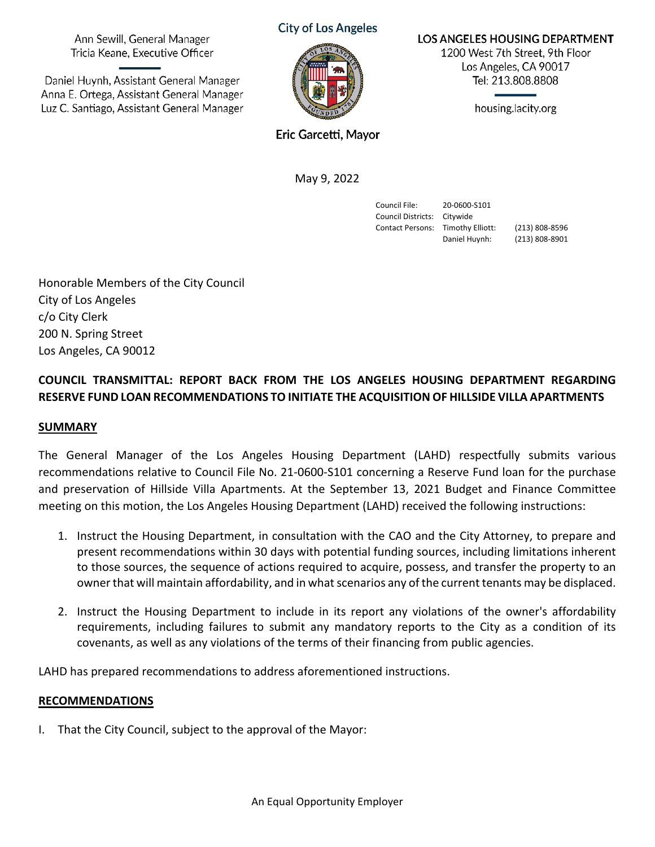Ann Sewill, General Manager Tricia Keane, Executive Officer

Daniel Huynh, Assistant General Manager Anna E. Ortega, Assistant General Manager Luz C. Santiago, Assistant General Manager **City of Los Angeles** 



LOS ANGELES HOUSING DEPARTMENT

1200 West 7th Street, 9th Floor Los Angeles, CA 90017 Tel: 213.808.8808

housing.lacity.org

Eric Garcetti, Mayor

May 9, 2022

Council File: 20-0600-S101 Council Districts: Citywide

Contact Persons: Timothy Elliott: (213) 808-8596 Daniel Huynh: (213) 808-8901

Honorable Members of the City Council City of Los Angeles c/o City Clerk 200 N. Spring Street Los Angeles, CA 90012

# **COUNCIL TRANSMITTAL: REPORT BACK FROM THE LOS ANGELES HOUSING DEPARTMENT REGARDING RESERVE FUND LOAN RECOMMENDATIONS TO INITIATE THE ACQUISITION OF HILLSIDE VILLA APARTMENTS**

### **SUMMARY**

The General Manager of the Los Angeles Housing Department (LAHD) respectfully submits various recommendations relative to Council File No. 21-0600-S101 concerning a Reserve Fund loan for the purchase and preservation of Hillside Villa Apartments. At the September 13, 2021 Budget and Finance Committee meeting on this motion, the Los Angeles Housing Department (LAHD) received the following instructions:

- 1. Instruct the Housing Department, in consultation with the CAO and the City Attorney, to prepare and present recommendations within 30 days with potential funding sources, including limitations inherent to those sources, the sequence of actions required to acquire, possess, and transfer the property to an owner that will maintain affordability, and in what scenarios any of the current tenants may be displaced.
- 2. Instruct the Housing Department to include in its report any violations of the owner's affordability requirements, including failures to submit any mandatory reports to the City as a condition of its covenants, as well as any violations of the terms of their financing from public agencies.

LAHD has prepared recommendations to address aforementioned instructions.

## **RECOMMENDATIONS**

I. That the City Council, subject to the approval of the Mayor: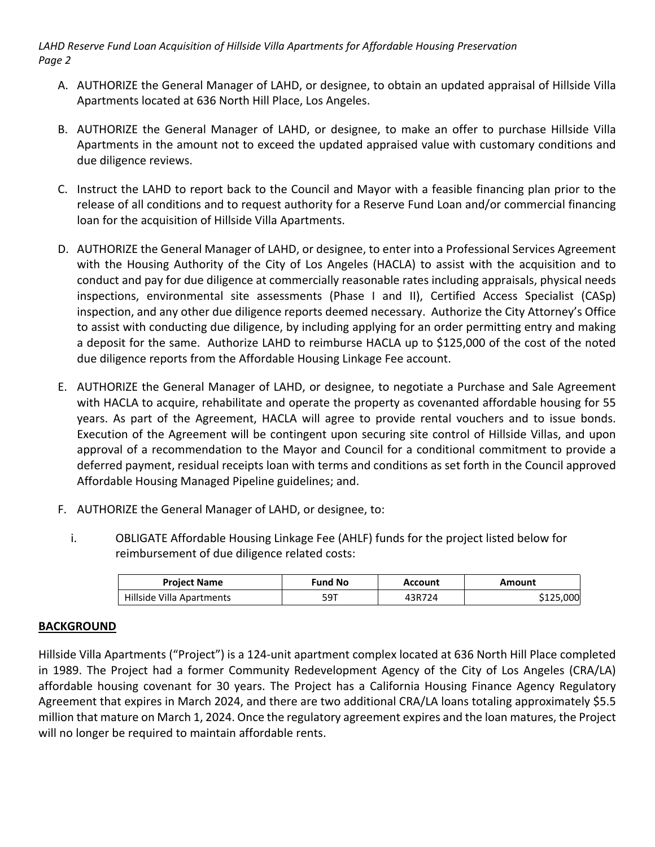*LAHD Reserve Fund Loan Acquisition of Hillside Villa Apartments for Affordable Housing Preservation Page 2*

- A. AUTHORIZE the General Manager of LAHD, or designee, to obtain an updated appraisal of Hillside Villa Apartments located at 636 North Hill Place, Los Angeles.
- B. AUTHORIZE the General Manager of LAHD, or designee, to make an offer to purchase Hillside Villa Apartments in the amount not to exceed the updated appraised value with customary conditions and due diligence reviews.
- C. Instruct the LAHD to report back to the Council and Mayor with a feasible financing plan prior to the release of all conditions and to request authority for a Reserve Fund Loan and/or commercial financing loan for the acquisition of Hillside Villa Apartments.
- D. AUTHORIZE the General Manager of LAHD, or designee, to enter into a Professional Services Agreement with the Housing Authority of the City of Los Angeles (HACLA) to assist with the acquisition and to conduct and pay for due diligence at commercially reasonable rates including appraisals, physical needs inspections, environmental site assessments (Phase I and II), Certified Access Specialist (CASp) inspection, and any other due diligence reports deemed necessary. Authorize the City Attorney's Office to assist with conducting due diligence, by including applying for an order permitting entry and making a deposit for the same. Authorize LAHD to reimburse HACLA up to \$125,000 of the cost of the noted due diligence reports from the Affordable Housing Linkage Fee account.
- E. AUTHORIZE the General Manager of LAHD, or designee, to negotiate a Purchase and Sale Agreement with HACLA to acquire, rehabilitate and operate the property as covenanted affordable housing for 55 years. As part of the Agreement, HACLA will agree to provide rental vouchers and to issue bonds. Execution of the Agreement will be contingent upon securing site control of Hillside Villas, and upon approval of a recommendation to the Mayor and Council for a conditional commitment to provide a deferred payment, residual receipts loan with terms and conditions as set forth in the Council approved Affordable Housing Managed Pipeline guidelines; and.
- F. AUTHORIZE the General Manager of LAHD, or designee, to:
	- i. OBLIGATE Affordable Housing Linkage Fee (AHLF) funds for the project listed below for reimbursement of due diligence related costs:

| <b>Project Name</b>       | <b>Fund No</b> | Account | Amount    |
|---------------------------|----------------|---------|-----------|
| Hillside Villa Apartments | 59T            | 43R724  | \$125,000 |

## **BACKGROUND**

Hillside Villa Apartments ("Project") is a 124-unit apartment complex located at 636 North Hill Place completed in 1989. The Project had a former Community Redevelopment Agency of the City of Los Angeles (CRA/LA) affordable housing covenant for 30 years. The Project has a California Housing Finance Agency Regulatory Agreement that expires in March 2024, and there are two additional CRA/LA loans totaling approximately \$5.5 million that mature on March 1, 2024. Once the regulatory agreement expires and the loan matures, the Project will no longer be required to maintain affordable rents.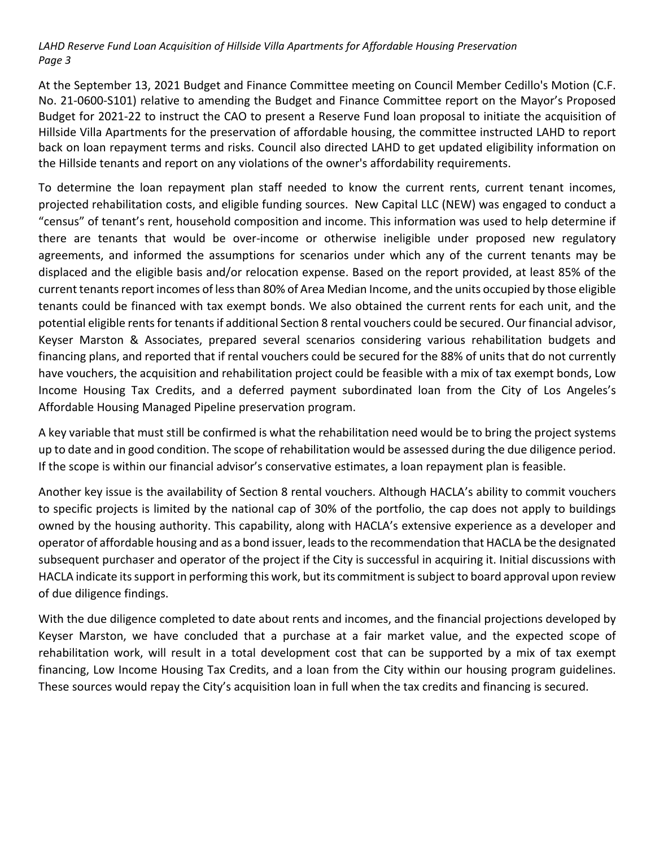*LAHD Reserve Fund Loan Acquisition of Hillside Villa Apartments for Affordable Housing Preservation Page 3*

At the September 13, 2021 Budget and Finance Committee meeting on Council Member Cedillo's Motion (C.F. No. 21-0600-S101) relative to amending the Budget and Finance Committee report on the Mayor's Proposed Budget for 2021-22 to instruct the CAO to present a Reserve Fund loan proposal to initiate the acquisition of Hillside Villa Apartments for the preservation of affordable housing, the committee instructed LAHD to report back on loan repayment terms and risks. Council also directed LAHD to get updated eligibility information on the Hillside tenants and report on any violations of the owner's affordability requirements.

To determine the loan repayment plan staff needed to know the current rents, current tenant incomes, projected rehabilitation costs, and eligible funding sources. New Capital LLC (NEW) was engaged to conduct a "census" of tenant's rent, household composition and income. This information was used to help determine if there are tenants that would be over-income or otherwise ineligible under proposed new regulatory agreements, and informed the assumptions for scenarios under which any of the current tenants may be displaced and the eligible basis and/or relocation expense. Based on the report provided, at least 85% of the current tenants report incomes of less than 80% of Area Median Income, and the units occupied by those eligible tenants could be financed with tax exempt bonds. We also obtained the current rents for each unit, and the potential eligible rents for tenants if additional Section 8 rental vouchers could be secured. Our financial advisor, Keyser Marston & Associates, prepared several scenarios considering various rehabilitation budgets and financing plans, and reported that if rental vouchers could be secured for the 88% of units that do not currently have vouchers, the acquisition and rehabilitation project could be feasible with a mix of tax exempt bonds, Low Income Housing Tax Credits, and a deferred payment subordinated loan from the City of Los Angeles's Affordable Housing Managed Pipeline preservation program.

A key variable that must still be confirmed is what the rehabilitation need would be to bring the project systems up to date and in good condition. The scope of rehabilitation would be assessed during the due diligence period. If the scope is within our financial advisor's conservative estimates, a loan repayment plan is feasible.

Another key issue is the availability of Section 8 rental vouchers. Although HACLA's ability to commit vouchers to specific projects is limited by the national cap of 30% of the portfolio, the cap does not apply to buildings owned by the housing authority. This capability, along with HACLA's extensive experience as a developer and operator of affordable housing and as a bond issuer, leads to the recommendation that HACLA be the designated subsequent purchaser and operator of the project if the City is successful in acquiring it. Initial discussions with HACLA indicate its support in performing this work, but its commitment is subject to board approval upon review of due diligence findings.

With the due diligence completed to date about rents and incomes, and the financial projections developed by Keyser Marston, we have concluded that a purchase at a fair market value, and the expected scope of rehabilitation work, will result in a total development cost that can be supported by a mix of tax exempt financing, Low Income Housing Tax Credits, and a loan from the City within our housing program guidelines. These sources would repay the City's acquisition loan in full when the tax credits and financing is secured.